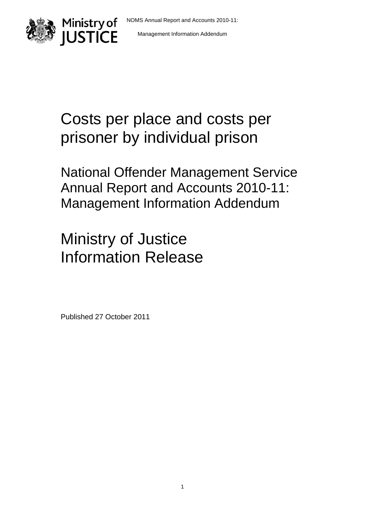



# Costs per place and costs per prisoner by individual prison

National Offender Management Service Annual Report and Accounts 2010-11: Management Information Addendum

# Ministry of Justice Information Release

Published 27 October 2011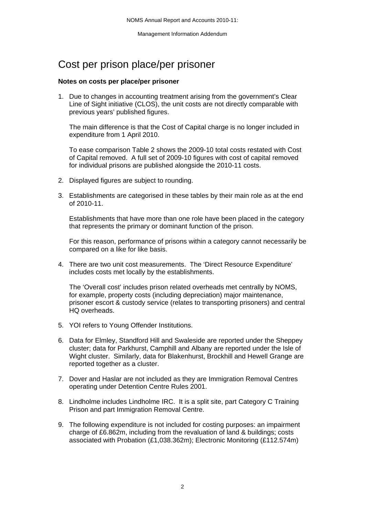# Cost per prison place/per prisoner

#### **Notes on costs per place/per prisoner**

1. Due to changes in accounting treatment arising from the government's Clear Line of Sight initiative (CLOS), the unit costs are not directly comparable with previous years' published figures.

The main difference is that the Cost of Capital charge is no longer included in expenditure from 1 April 2010.

To ease comparison Table 2 shows the 2009-10 total costs restated with Cost of Capital removed. A full set of 2009-10 figures with cost of capital removed for individual prisons are published alongside the 2010-11 costs.

- 2. Displayed figures are subject to rounding.
- 3. Establishments are categorised in these tables by their main role as at the end of 2010-11.

Establishments that have more than one role have been placed in the category that represents the primary or dominant function of the prison.

For this reason, performance of prisons within a category cannot necessarily be compared on a like for like basis.

4. There are two unit cost measurements. The 'Direct Resource Expenditure' includes costs met locally by the establishments.

The 'Overall cost' includes prison related overheads met centrally by NOMS, for example, property costs (including depreciation) major maintenance, prisoner escort & custody service (relates to transporting prisoners) and central HQ overheads.

- 5. YOI refers to Young Offender Institutions.
- 6. Data for Elmley, Standford Hill and Swaleside are reported under the Sheppey cluster; data for Parkhurst, Camphill and Albany are reported under the Isle of Wight cluster. Similarly, data for Blakenhurst, Brockhill and Hewell Grange are reported together as a cluster.
- 7. Dover and Haslar are not included as they are Immigration Removal Centres operating under Detention Centre Rules 2001.
- 8. Lindholme includes Lindholme IRC. It is a split site, part Category C Training Prison and part Immigration Removal Centre.
- 9. The following expenditure is not included for costing purposes: an impairment charge of £6.862m, including from the revaluation of land & buildings; costs associated with Probation (£1,038.362m); Electronic Monitoring (£112.574m)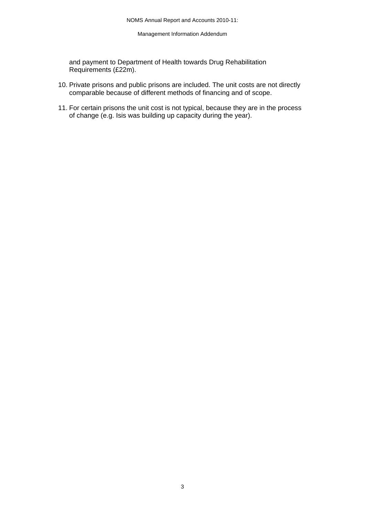and payment to Department of Health towards Drug Rehabilitation Requirements (£22m).

- 10. Private prisons and public prisons are included. The unit costs are not directly comparable because of different methods of financing and of scope.
- 11. For certain prisons the unit cost is not typical, because they are in the process of change (e.g. Isis was building up capacity during the year).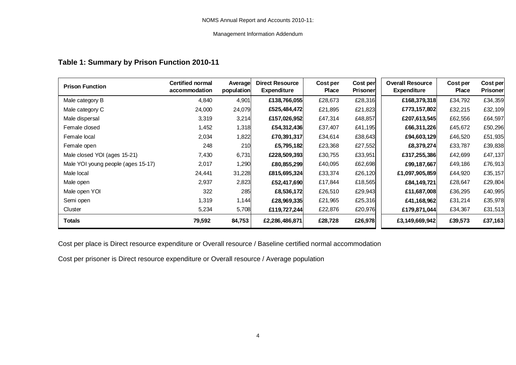## **Table 1: Summary by Prison Function 2010-11**

| <b>Prison Function</b>             | <b>Certified normal</b><br>accommodation | Average<br>population | <b>Direct Resource</b><br><b>Expenditure</b> | Cost per<br><b>Place</b> | Cost per<br><b>Prisoner</b> | <b>Overall Resource</b><br><b>Expenditure</b> | Cost per<br><b>Place</b> | Cost per<br><b>Prisoner</b> |
|------------------------------------|------------------------------------------|-----------------------|----------------------------------------------|--------------------------|-----------------------------|-----------------------------------------------|--------------------------|-----------------------------|
| Male category B                    | 4,840                                    | 4,901                 | £138,766,055                                 | £28,673                  | £28,316                     | £168,379,318                                  | £34,792                  | £34,359                     |
| Male category C                    | 24,000                                   | 24,079                | £525,484,472                                 | £21,895                  | £21,823                     | £773,157,802                                  | £32,215                  | £32,109                     |
| Male dispersal                     | 3,319                                    | 3,214                 | £157,026,952                                 | £47,314                  | £48,857                     | £207,613,545                                  | £62,556                  | £64,597                     |
| Female closed                      | 1,452                                    | 1,318                 | £54,312,436                                  | £37,407                  | £41,195                     | £66,311,226                                   | £45,672                  | £50,296                     |
| Female local                       | 2,034                                    | 1,822                 | £70,391,317                                  | £34,614                  | £38,643                     | £94,603,129                                   | £46,520                  | £51,935                     |
| Female open                        | 248                                      | 210                   | £5,795,182                                   | £23,368                  | £27,552                     | £8,379,274                                    | £33,787                  | £39,838                     |
| Male closed YOI (ages 15-21)       | 7,430                                    | 6,731                 | £228,509,393                                 | £30,755                  | £33,951                     | £317,255,386                                  | £42,699                  | £47,137                     |
| Male YOI young people (ages 15-17) | 2,017                                    | 1,290                 | £80,855,299                                  | £40,095                  | £62,698                     | £99,187,667                                   | £49,186                  | £76,913                     |
| Male local                         | 24,441                                   | 31,228                | £815,695,324                                 | £33,374                  | £26,120                     | £1,097,905,859                                | £44,920                  | £35,157                     |
| Male open                          | 2,937                                    | 2,823                 | £52,417,690                                  | £17,844                  | £18,565                     | £84,149,721                                   | £28,647                  | £29,804                     |
| Male open YOI                      | 322                                      | 285                   | £8,536,172                                   | £26,510                  | £29,943                     | £11,687,008                                   | £36,295                  | £40,995                     |
| Semi open                          | 1,319                                    | 1,144                 | £28,969,335                                  | £21,965                  | £25,316                     | £41,168,962                                   | £31,214                  | £35,978                     |
| Cluster                            | 5,234                                    | 5,708                 | £119,727,244                                 | £22,876                  | £20,976                     | £179,871,044                                  | £34,367                  | £31,513                     |
| <b>Totals</b>                      | 79,592                                   | 84,753                | £2,286,486,871                               | £28,728                  | £26,978                     | £3,149,669,942                                | £39,573                  | £37,163                     |

Cost per place is Direct resource expenditure or Overall resource / Baseline certified normal accommodation

Cost per prisoner is Direct resource expenditure or Overall resource / Average population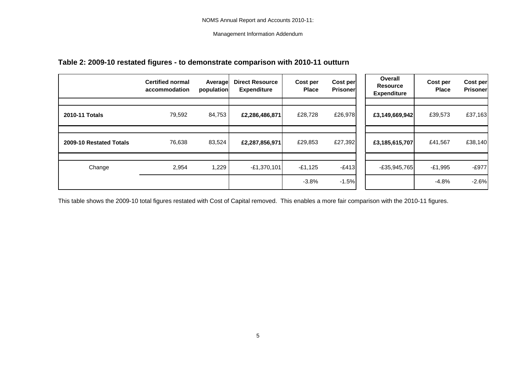# **Table 2: 2009-10 restated figures - to demonstrate comparison with 2010-11 outturn**

|                         | <b>Certified normal</b><br>accommodation | Average<br>population | <b>Direct Resource</b><br><b>Expenditure</b> | Cost per<br><b>Place</b> | Cost per<br><b>Prisoner</b> | Overall<br><b>Resource</b><br><b>Expenditure</b> | Cost per<br><b>Place</b> | Cost per<br><b>Prisoner</b> |
|-------------------------|------------------------------------------|-----------------------|----------------------------------------------|--------------------------|-----------------------------|--------------------------------------------------|--------------------------|-----------------------------|
| 2010-11 Totals          | 79,592                                   | 84,753                | £2,286,486,871                               | £28,728                  | £26,978                     | £3,149,669,942                                   | £39,573                  | £37,163                     |
|                         |                                          |                       |                                              |                          |                             |                                                  |                          |                             |
| 2009-10 Restated Totals | 76,638                                   | 83,524                | £2,287,856,971                               | £29,853                  | £27,392                     | £3,185,615,707                                   | £41,567                  | £38,140                     |
|                         |                                          |                       |                                              |                          |                             |                                                  |                          |                             |
| Change                  | 2,954                                    | 1,229                 | $-E1,370,101$                                | $-£1,125$                | $-E413$                     | $-E35,945,765$                                   | $-E1,995$                | $-E977$                     |
|                         |                                          |                       |                                              | $-3.8%$                  | $-1.5%$                     |                                                  | $-4.8%$                  | $-2.6%$                     |

This table shows the 2009-10 total figures restated with Cost of Capital removed. This enables a more fair comparison with the 2010-11 figures.